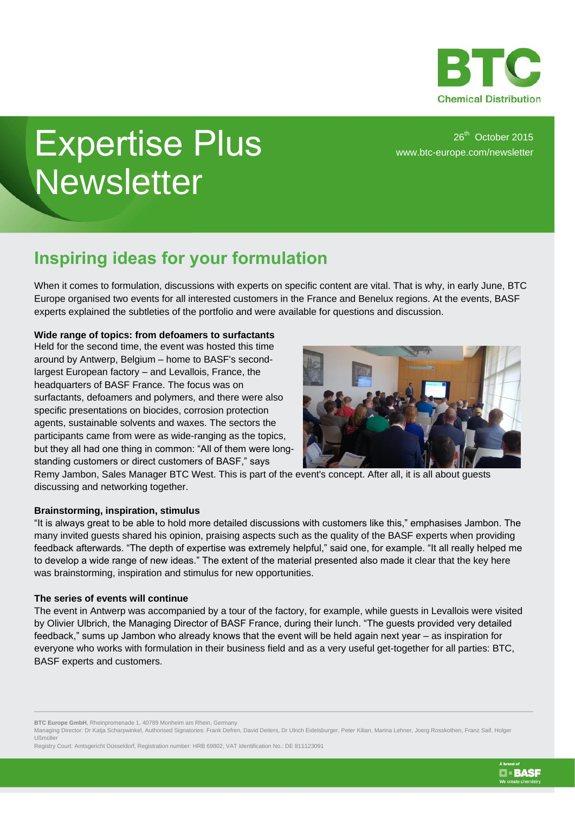

# Expertise Plus **Newsletter**

26<sup>th</sup> October 2015 [www.btc-europe.com/newsletter](http://www.btc-europe.com/newsletter)

## **Inspiring ideas for your formulation**

When it comes to formulation, discussions with experts on specific content are vital. That is why, in early June, BTC Europe organised two events for all interested customers in the France and Benelux regions. At the events, BASF experts explained the subtleties of the portfolio and were available for questions and discussion.

### **Wide range of topics: from defoamers to surfactants**

Held for the second time, the event was hosted this time around by Antwerp, Belgium – home to BASF's secondlargest European factory – and Levallois, France, the headquarters of BASF France. The focus was on surfactants, defoamers and polymers, and there were also specific presentations on biocides, corrosion protection agents, sustainable solvents and waxes. The sectors the participants came from were as wide-ranging as the topics, but they all had one thing in common: "All of them were longstanding customers or direct customers of BASF," says



Remy Jambon, Sales Manager BTC West. This is part of the event's concept. After all, it is all about guests discussing and networking together.

### **Brainstorming, inspiration, stimulus**

"It is always great to be able to hold more detailed discussions with customers like this," emphasises Jambon. The many invited guests shared his opinion, praising aspects such as the quality of the BASF experts when providing feedback afterwards. "The depth of expertise was extremely helpful," said one, for example. "It all really helped me to develop a wide range of new ideas." The extent of the material presented also made it clear that the key here was brainstorming, inspiration and stimulus for new opportunities.

#### **The series of events will continue**

The event in Antwerp was accompanied by a tour of the factory, for example, while guests in Levallois were visited by Olivier Ulbrich, the Managing Director of BASF France, during their lunch. "The guests provided very detailed feedback," sums up Jambon who already knows that the event will be held again next year – as inspiration for everyone who works with formulation in their business field and as a very useful get-together for all parties: BTC, BASF experts and customers.

**BTC Europe GmbH**, Rheinpromenade 1, 40789 Monheim am Rhein, Germany

Managing Director: Dr Katja Scharpwinkel, Authorised Signatories: Frank Defren, David Deiters, Dr Ulrich Eidelsburger, Peter Kilian, Marina Lehner, Joerg Rosskothen, Franz Saif, Holger Ußmüller

Registry Court: Amtsgericht Düsseldorf, Registration number: HRB 69802, VAT Identification No.: DE 811123091